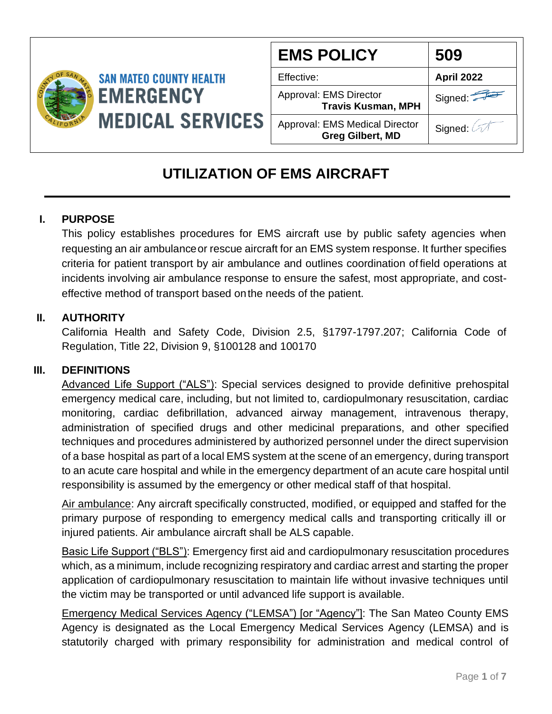

| <b>EMS POLICY</b>                                                | 509        |
|------------------------------------------------------------------|------------|
| Effective:                                                       | April 2022 |
| Approval: EMS Director<br><b>Travis Kusman, MPH</b>              | Signed:    |
| <b>Approval: EMS Medical Director</b><br><b>Greg Gilbert, MD</b> | Signed: 4  |

# **UTILIZATION OF EMS AIRCRAFT**

# **I. PURPOSE**

This policy establishes procedures for EMS aircraft use by public safety agencies when requesting an air ambulanceor rescue aircraft for an EMS system response. It further specifies criteria for patient transport by air ambulance and outlines coordination of field operations at incidents involving air ambulance response to ensure the safest, most appropriate, and costeffective method of transport based onthe needs of the patient.

# **II. AUTHORITY**

California Health and Safety Code, Division 2.5, §1797-1797.207; California Code of Regulation, Title 22, Division 9, §100128 and 100170

# **III. DEFINITIONS**

Advanced Life Support ("ALS"): Special services designed to provide definitive prehospital emergency medical care, including, but not limited to, cardiopulmonary resuscitation, cardiac monitoring, cardiac defibrillation, advanced airway management, intravenous therapy, administration of specified drugs and other medicinal preparations, and other specified techniques and procedures administered by authorized personnel under the direct supervision of a base hospital as part of a local EMS system at the scene of an emergency, during transport to an acute care hospital and while in the emergency department of an acute care hospital until responsibility is assumed by the emergency or other medical staff of that hospital.

Air ambulance: Any aircraft specifically constructed, modified, or equipped and staffed for the primary purpose of responding to emergency medical calls and transporting critically ill or injured patients. Air ambulance aircraft shall be ALS capable.

Basic Life Support ("BLS"): Emergency first aid and cardiopulmonary resuscitation procedures which, as a minimum, include recognizing respiratory and cardiac arrest and starting the proper application of cardiopulmonary resuscitation to maintain life without invasive techniques until the victim may be transported or until advanced life support is available.

Emergency Medical Services Agency ("LEMSA") [or "Agency"]: The San Mateo County EMS Agency is designated as the Local Emergency Medical Services Agency (LEMSA) and is statutorily charged with primary responsibility for administration and medical control of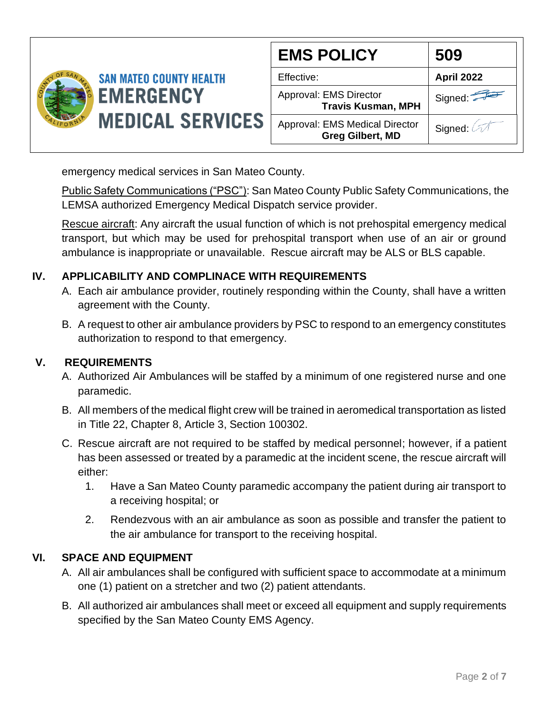

| <b>EMS POLICY</b>                                                | 509               |
|------------------------------------------------------------------|-------------------|
| Effective:                                                       | <b>April 2022</b> |
| Approval: EMS Director<br><b>Travis Kusman, MPH</b>              | Signed:           |
| <b>Approval: EMS Medical Director</b><br><b>Greg Gilbert, MD</b> | Signed: A         |

emergency medical services in San Mateo County.

Public Safety Communications ("PSC"): San Mateo County Public Safety Communications, the LEMSA authorized Emergency Medical Dispatch service provider.

Rescue aircraft: Any aircraft the usual function of which is not prehospital emergency medical transport, but which may be used for prehospital transport when use of an air or ground ambulance is inappropriate or unavailable. Rescue aircraft may be ALS or BLS capable.

# **IV. APPLICABILITY AND COMPLINACE WITH REQUIREMENTS**

- A. Each air ambulance provider, routinely responding within the County, shall have a written agreement with the County.
- B. A request to other air ambulance providers by PSC to respond to an emergency constitutes authorization to respond to that emergency.

### **V. REQUIREMENTS**

- A. Authorized Air Ambulances will be staffed by a minimum of one registered nurse and one paramedic.
- B. All members of the medical flight crew will be trained in aeromedical transportation as listed in Title 22, Chapter 8, Article 3, Section 100302.
- C. Rescue aircraft are not required to be staffed by medical personnel; however, if a patient has been assessed or treated by a paramedic at the incident scene, the rescue aircraft will either:
	- 1. Have a San Mateo County paramedic accompany the patient during air transport to a receiving hospital; or
	- 2. Rendezvous with an air ambulance as soon as possible and transfer the patient to the air ambulance for transport to the receiving hospital.

#### **VI. SPACE AND EQUIPMENT**

- A. All air ambulances shall be configured with sufficient space to accommodate at a minimum one (1) patient on a stretcher and two (2) patient attendants.
- B. All authorized air ambulances shall meet or exceed all equipment and supply requirements specified by the San Mateo County EMS Agency.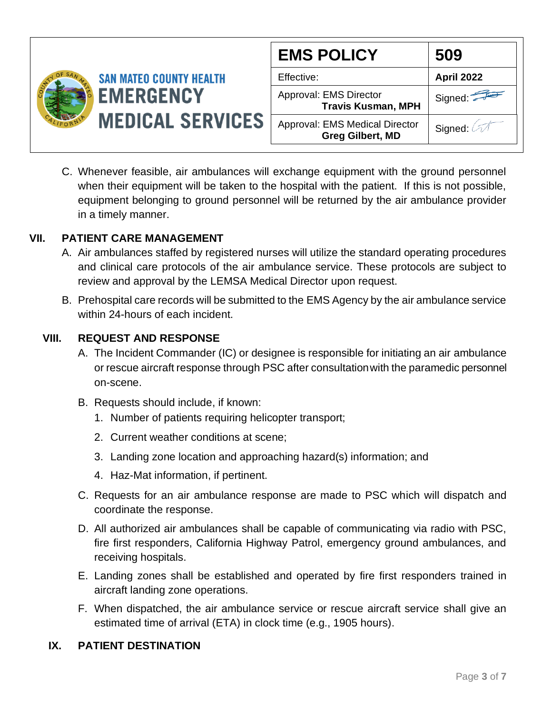

| <b>EMS POLICY</b>                                                | 509               |
|------------------------------------------------------------------|-------------------|
| Effective:                                                       | <b>April 2022</b> |
| Approval: EMS Director<br><b>Travis Kusman, MPH</b>              | Signed:           |
| <b>Approval: EMS Medical Director</b><br><b>Greg Gilbert, MD</b> | Signed: 4         |

C. Whenever feasible, air ambulances will exchange equipment with the ground personnel when their equipment will be taken to the hospital with the patient. If this is not possible, equipment belonging to ground personnel will be returned by the air ambulance provider in a timely manner.

### **VII. PATIENT CARE MANAGEMENT**

- A. Air ambulances staffed by registered nurses will utilize the standard operating procedures and clinical care protocols of the air ambulance service. These protocols are subject to review and approval by the LEMSA Medical Director upon request.
- B. Prehospital care records will be submitted to the EMS Agency by the air ambulance service within 24-hours of each incident.

### **VIII. REQUEST AND RESPONSE**

- A. The Incident Commander (IC) or designee is responsible for initiating an air ambulance or rescue aircraft response through PSC after consultationwith the paramedic personnel on-scene.
- B. Requests should include, if known:
	- 1. Number of patients requiring helicopter transport;
	- 2. Current weather conditions at scene;
	- 3. Landing zone location and approaching hazard(s) information; and
	- 4. Haz-Mat information, if pertinent.
- C. Requests for an air ambulance response are made to PSC which will dispatch and coordinate the response.
- D. All authorized air ambulances shall be capable of communicating via radio with PSC, fire first responders, California Highway Patrol, emergency ground ambulances, and receiving hospitals.
- E. Landing zones shall be established and operated by fire first responders trained in aircraft landing zone operations.
- F. When dispatched, the air ambulance service or rescue aircraft service shall give an estimated time of arrival (ETA) in clock time (e.g., 1905 hours).

#### **IX. PATIENT DESTINATION**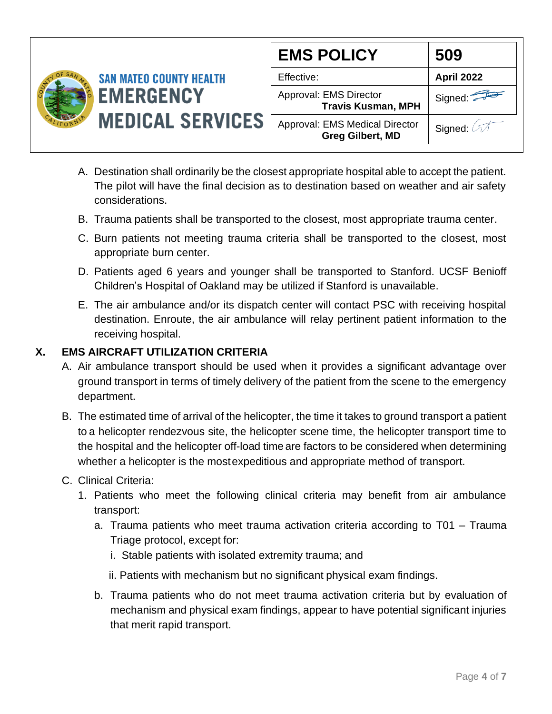

| <b>EMS POLICY</b>                                                | 509               |
|------------------------------------------------------------------|-------------------|
| Effective:                                                       | <b>April 2022</b> |
| Approval: EMS Director<br><b>Travis Kusman, MPH</b>              | Signed:           |
| <b>Approval: EMS Medical Director</b><br><b>Greg Gilbert, MD</b> | Signed: 2         |

- A. Destination shall ordinarily be the closest appropriate hospital able to accept the patient. The pilot will have the final decision as to destination based on weather and air safety considerations.
- B. Trauma patients shall be transported to the closest, most appropriate trauma center.
- C. Burn patients not meeting trauma criteria shall be transported to the closest, most appropriate burn center.
- D. Patients aged 6 years and younger shall be transported to Stanford. UCSF Benioff Children's Hospital of Oakland may be utilized if Stanford is unavailable.
- E. The air ambulance and/or its dispatch center will contact PSC with receiving hospital destination. Enroute, the air ambulance will relay pertinent patient information to the receiving hospital.

# **X. EMS AIRCRAFT UTILIZATION CRITERIA**

- A. Air ambulance transport should be used when it provides a significant advantage over ground transport in terms of timely delivery of the patient from the scene to the emergency department.
- B. The estimated time of arrival of the helicopter, the time it takes to ground transport a patient to a helicopter rendezvous site, the helicopter scene time, the helicopter transport time to the hospital and the helicopter off-load time are factors to be considered when determining whether a helicopter is the mostexpeditious and appropriate method of transport.
- C. Clinical Criteria:
	- 1. Patients who meet the following clinical criteria may benefit from air ambulance transport:
		- a. Trauma patients who meet trauma activation criteria according to T01 Trauma Triage protocol, except for:
			- i. Stable patients with isolated extremity trauma; and
			- ii. Patients with mechanism but no significant physical exam findings.
		- b. Trauma patients who do not meet trauma activation criteria but by evaluation of mechanism and physical exam findings, appear to have potential significant injuries that merit rapid transport.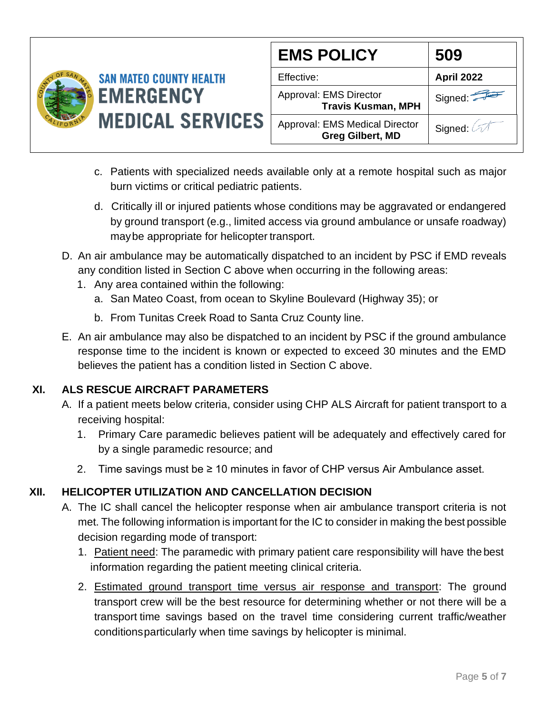

| <b>EMS POLICY</b>                                                | 509               |
|------------------------------------------------------------------|-------------------|
| Effective:                                                       | <b>April 2022</b> |
| Approval: EMS Director<br><b>Travis Kusman, MPH</b>              | Signed:           |
| <b>Approval: EMS Medical Director</b><br><b>Greg Gilbert, MD</b> | Signed: 2         |

- c. Patients with specialized needs available only at a remote hospital such as major burn victims or critical pediatric patients.
- d. Critically ill or injured patients whose conditions may be aggravated or endangered by ground transport (e.g., limited access via ground ambulance or unsafe roadway) maybe appropriate for helicopter transport.
- D. An air ambulance may be automatically dispatched to an incident by PSC if EMD reveals any condition listed in Section C above when occurring in the following areas:
	- 1. Any area contained within the following:
		- a. San Mateo Coast, from ocean to Skyline Boulevard (Highway 35); or
		- b. From Tunitas Creek Road to Santa Cruz County line.
- E. An air ambulance may also be dispatched to an incident by PSC if the ground ambulance response time to the incident is known or expected to exceed 30 minutes and the EMD believes the patient has a condition listed in Section C above.

# **XI. ALS RESCUE AIRCRAFT PARAMETERS**

- A. If a patient meets below criteria, consider using CHP ALS Aircraft for patient transport to a receiving hospital:
	- 1. Primary Care paramedic believes patient will be adequately and effectively cared for by a single paramedic resource; and
	- 2. Time savings must be  $\geq 10$  minutes in favor of CHP versus Air Ambulance asset.

# **XII. HELICOPTER UTILIZATION AND CANCELLATION DECISION**

- A. The IC shall cancel the helicopter response when air ambulance transport criteria is not met. The following information is important for the IC to consider in making the best possible decision regarding mode of transport:
	- 1. Patient need: The paramedic with primary patient care responsibility will have the best information regarding the patient meeting clinical criteria.
	- 2. Estimated ground transport time versus air response and transport: The ground transport crew will be the best resource for determining whether or not there will be a transport time savings based on the travel time considering current traffic/weather conditionsparticularly when time savings by helicopter is minimal.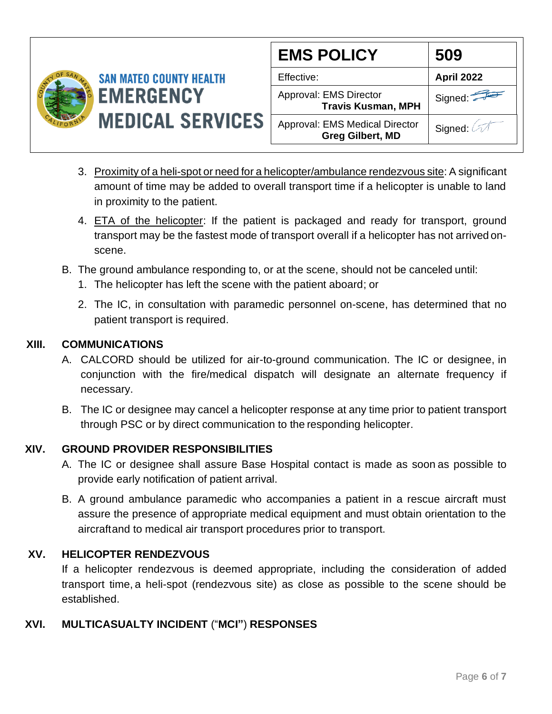

| <b>EMS POLICY</b>                                                | 509               |
|------------------------------------------------------------------|-------------------|
| Effective:                                                       | <b>April 2022</b> |
| Approval: EMS Director<br><b>Travis Kusman, MPH</b>              | Signed:           |
| <b>Approval: EMS Medical Director</b><br><b>Greg Gilbert, MD</b> | Signed:           |

- 3. Proximity of a heli-spot or need for a helicopter/ambulance rendezvous site: A significant amount of time may be added to overall transport time if a helicopter is unable to land in proximity to the patient.
- 4. ETA of the helicopter: If the patient is packaged and ready for transport, ground transport may be the fastest mode of transport overall if a helicopter has not arrived onscene.
- B. The ground ambulance responding to, or at the scene, should not be canceled until:
	- 1. The helicopter has left the scene with the patient aboard; or
	- 2. The IC, in consultation with paramedic personnel on-scene, has determined that no patient transport is required.

# **XIII. COMMUNICATIONS**

- A. CALCORD should be utilized for air-to-ground communication. The IC or designee, in conjunction with the fire/medical dispatch will designate an alternate frequency if necessary.
- B. The IC or designee may cancel a helicopter response at any time prior to patient transport through PSC or by direct communication to the responding helicopter.

# **XIV. GROUND PROVIDER RESPONSIBILITIES**

- A. The IC or designee shall assure Base Hospital contact is made as soon as possible to provide early notification of patient arrival.
- B. A ground ambulance paramedic who accompanies a patient in a rescue aircraft must assure the presence of appropriate medical equipment and must obtain orientation to the aircraftand to medical air transport procedures prior to transport.

# **XV. HELICOPTER RENDEZVOUS**

If a helicopter rendezvous is deemed appropriate, including the consideration of added transport time, a heli-spot (rendezvous site) as close as possible to the scene should be established.

# **XVI. MULTICASUALTY INCIDENT** ("**MCI"**) **RESPONSES**